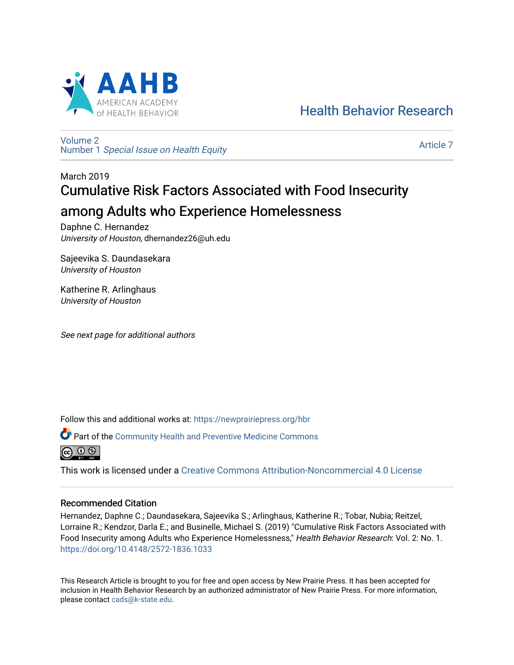

[Health Behavior Research](https://newprairiepress.org/hbr) 

[Volume 2](https://newprairiepress.org/hbr/vol2) Number 1 [Special Issue on Health Equity](https://newprairiepress.org/hbr/vol2/iss1) 

[Article 7](https://newprairiepress.org/hbr/vol2/iss1/7) 

# March 2019 Cumulative Risk Factors Associated with Food Insecurity among Adults who Experience Homelessness

Daphne C. Hernandez University of Houston, dhernandez26@uh.edu

Sajeevika S. Daundasekara University of Houston

Katherine R. Arlinghaus University of Houston

See next page for additional authors

Follow this and additional works at: [https://newprairiepress.org/hbr](https://newprairiepress.org/hbr?utm_source=newprairiepress.org%2Fhbr%2Fvol2%2Fiss1%2F7&utm_medium=PDF&utm_campaign=PDFCoverPages) 

Part of the [Community Health and Preventive Medicine Commons](http://network.bepress.com/hgg/discipline/744?utm_source=newprairiepress.org%2Fhbr%2Fvol2%2Fiss1%2F7&utm_medium=PDF&utm_campaign=PDFCoverPages)



This work is licensed under a [Creative Commons Attribution-Noncommercial 4.0 License](https://creativecommons.org/licenses/by-nc/4.0/)

# Recommended Citation

Hernandez, Daphne C.; Daundasekara, Sajeevika S.; Arlinghaus, Katherine R.; Tobar, Nubia; Reitzel, Lorraine R.; Kendzor, Darla E.; and Businelle, Michael S. (2019) "Cumulative Risk Factors Associated with Food Insecurity among Adults who Experience Homelessness," Health Behavior Research: Vol. 2: No. 1. <https://doi.org/10.4148/2572-1836.1033>

This Research Article is brought to you for free and open access by New Prairie Press. It has been accepted for inclusion in Health Behavior Research by an authorized administrator of New Prairie Press. For more information, please contact [cads@k-state.edu.](mailto:cads@k-state.edu)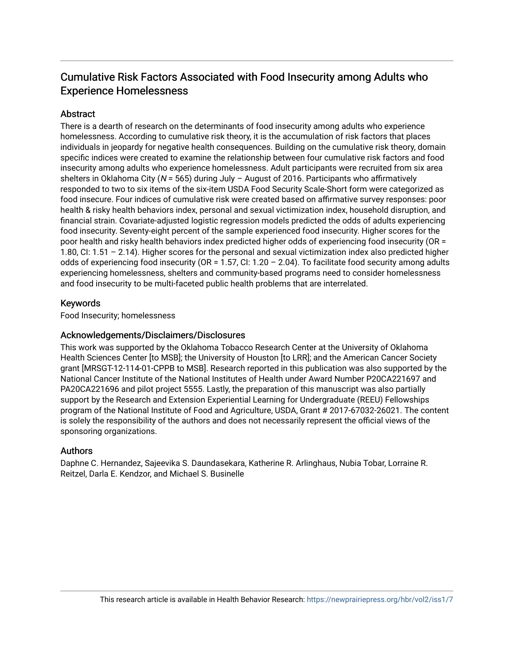# Cumulative Risk Factors Associated with Food Insecurity among Adults who Experience Homelessness

# **Abstract**

There is a dearth of research on the determinants of food insecurity among adults who experience homelessness. According to cumulative risk theory, it is the accumulation of risk factors that places individuals in jeopardy for negative health consequences. Building on the cumulative risk theory, domain specific indices were created to examine the relationship between four cumulative risk factors and food insecurity among adults who experience homelessness. Adult participants were recruited from six area shelters in Oklahoma City ( $N = 565$ ) during July - August of 2016. Participants who affirmatively responded to two to six items of the six-item USDA Food Security Scale-Short form were categorized as food insecure. Four indices of cumulative risk were created based on affirmative survey responses: poor health & risky health behaviors index, personal and sexual victimization index, household disruption, and financial strain. Covariate-adjusted logistic regression models predicted the odds of adults experiencing food insecurity. Seventy-eight percent of the sample experienced food insecurity. Higher scores for the poor health and risky health behaviors index predicted higher odds of experiencing food insecurity (OR = 1.80, CI: 1.51 – 2.14). Higher scores for the personal and sexual victimization index also predicted higher odds of experiencing food insecurity (OR = 1.57, CI: 1.20 – 2.04). To facilitate food security among adults experiencing homelessness, shelters and community-based programs need to consider homelessness and food insecurity to be multi-faceted public health problems that are interrelated.

# Keywords

Food Insecurity; homelessness

# Acknowledgements/Disclaimers/Disclosures

This work was supported by the Oklahoma Tobacco Research Center at the University of Oklahoma Health Sciences Center [to MSB]; the University of Houston [to LRR]; and the American Cancer Society grant [MRSGT-12-114-01-CPPB to MSB]. Research reported in this publication was also supported by the National Cancer Institute of the National Institutes of Health under Award Number P20CA221697 and PA20CA221696 and pilot project 5555. Lastly, the preparation of this manuscript was also partially support by the Research and Extension Experiential Learning for Undergraduate (REEU) Fellowships program of the National Institute of Food and Agriculture, USDA, Grant # 2017-67032-26021. The content is solely the responsibility of the authors and does not necessarily represent the official views of the sponsoring organizations.

# Authors

Daphne C. Hernandez, Sajeevika S. Daundasekara, Katherine R. Arlinghaus, Nubia Tobar, Lorraine R. Reitzel, Darla E. Kendzor, and Michael S. Businelle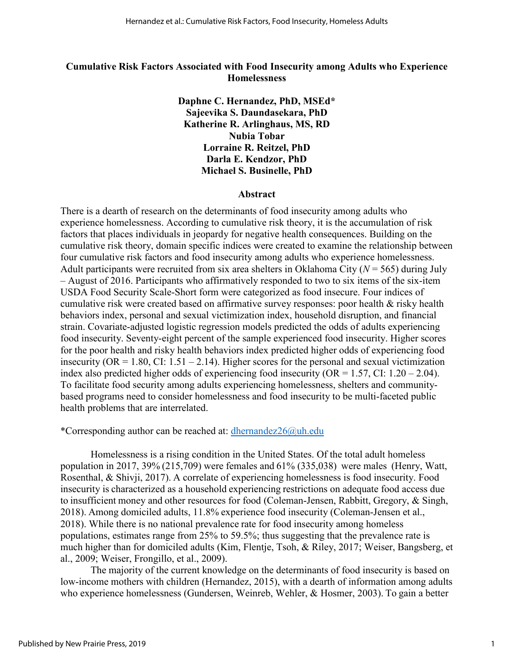# **Cumulative Risk Factors Associated with Food Insecurity among Adults who Experience Homelessness**

**Daphne C. Hernandez, PhD, MSEd\* Sajeevika S. Daundasekara, PhD Katherine R. Arlinghaus, MS, RD Nubia Tobar Lorraine R. Reitzel, PhD Darla E. Kendzor, PhD Michael S. Businelle, PhD**

#### **Abstract**

There is a dearth of research on the determinants of food insecurity among adults who experience homelessness. According to cumulative risk theory, it is the accumulation of risk factors that places individuals in jeopardy for negative health consequences. Building on the cumulative risk theory, domain specific indices were created to examine the relationship between four cumulative risk factors and food insecurity among adults who experience homelessness. Adult participants were recruited from six area shelters in Oklahoma City  $(N = 565)$  during July – August of 2016. Participants who affirmatively responded to two to six items of the six-item USDA Food Security Scale-Short form were categorized as food insecure. Four indices of cumulative risk were created based on affirmative survey responses: poor health & risky health behaviors index, personal and sexual victimization index, household disruption, and financial strain. Covariate-adjusted logistic regression models predicted the odds of adults experiencing food insecurity. Seventy-eight percent of the sample experienced food insecurity. Higher scores for the poor health and risky health behaviors index predicted higher odds of experiencing food insecurity ( $OR = 1.80$ ,  $CI: 1.51 - 2.14$ ). Higher scores for the personal and sexual victimization index also predicted higher odds of experiencing food insecurity (OR =  $1.57$ , CI:  $1.20 - 2.04$ ). To facilitate food security among adults experiencing homelessness, shelters and communitybased programs need to consider homelessness and food insecurity to be multi-faceted public health problems that are interrelated.

\*Corresponding author can be reached at: [dhernandez26@uh.edu](mailto:dhernandez26@uh.edu) 

Homelessness is a rising condition in the United States. Of the total adult homeless population in 2017, 39% (215,709) were females and 61% (335,038)  were males  [\(Henry, Watt,](#page-14-0)  [Rosenthal, & Shivji, 2017\)](#page-14-0). A correlate of experiencing homelessness is food insecurity. Food insecurity is characterized as a household experiencing restrictions on adequate food access due to insufficient money and other resources for food [\(Coleman-Jensen, Rabbitt, Gregory, & Singh,](#page-13-0)  [2018\)](#page-13-0). Among domiciled adults, 11.8% experience food insecurity [\(Coleman-Jensen et al.,](#page-13-0)  [2018\)](#page-13-0). While there is no national prevalence rate for food insecurity among homeless populations, estimates range from 25% to 59.5%; thus suggesting that the prevalence rate is much higher than for domiciled adults [\(Kim, Flentje, Tsoh, & Riley, 2017;](#page-15-0) [Weiser, Bangsberg, et](#page-17-0)  [al., 2009;](#page-17-0) [Weiser, Frongillo, et al., 2009\)](#page-17-1).

The majority of the current knowledge on the determinants of food insecurity is based on low-income mothers with children [\(Hernandez, 2015\)](#page-15-1), with a dearth of information among adults who experience homelessness [\(Gundersen, Weinreb, Wehler, & Hosmer, 2003\)](#page-14-1). To gain a better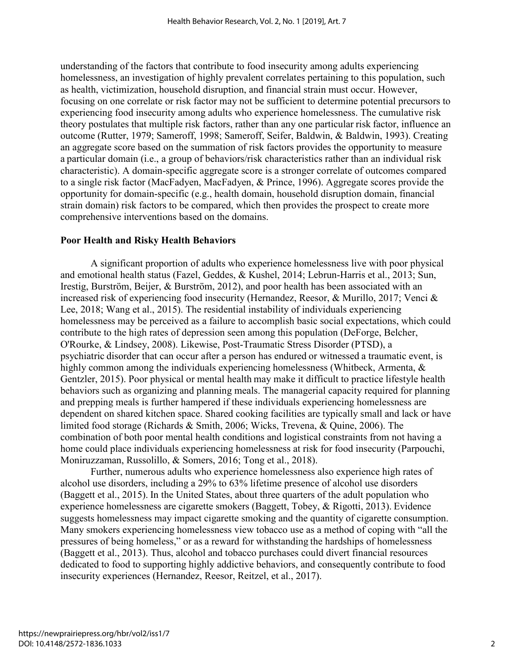understanding of the factors that contribute to food insecurity among adults experiencing homelessness, an investigation of highly prevalent correlates pertaining to this population, such as health, victimization, household disruption, and financial strain must occur. However, focusing on one correlate or risk factor may not be sufficient to determine potential precursors to experiencing food insecurity among adults who experience homelessness. The cumulative risk theory postulates that multiple risk factors, rather than any one particular risk factor, influence an outcome [\(Rutter, 1979;](#page-16-0) [Sameroff, 1998;](#page-16-1) [Sameroff, Seifer, Baldwin, & Baldwin, 1993\)](#page-16-2). Creating an aggregate score based on the summation of risk factors provides the opportunity to measure a particular domain (i.e., a group of behaviors/risk characteristics rather than an individual risk characteristic). A domain-specific aggregate score is a stronger correlate of outcomes compared to a single risk factor [\(MacFadyen, MacFadyen, & Prince, 1996\)](#page-15-2). Aggregate scores provide the opportunity for domain-specific (e.g., health domain, household disruption domain, financial strain domain) risk factors to be compared, which then provides the prospect to create more comprehensive interventions based on the domains.

# **Poor Health and Risky Health Behaviors**

A significant proportion of adults who experience homelessness live with poor physical and emotional health status [\(Fazel, Geddes, & Kushel, 2014;](#page-14-2) [Lebrun-Harris et al., 2013;](#page-15-3) [Sun,](#page-17-2)  [Irestig, Burström, Beijer, & Burström, 2012\)](#page-17-2), and poor health has been associated with an increased risk of experiencing food insecurity [\(Hernandez, Reesor, & Murillo, 2017;](#page-15-4) [Venci &](#page-17-3)  [Lee, 2018;](#page-17-3) [Wang et al., 2015\)](#page-17-4). The residential instability of individuals experiencing homelessness may be perceived as a failure to accomplish basic social expectations, which could contribute to the high rates of depression seen among this population [\(DeForge, Belcher,](#page-14-3)  [O'Rourke, & Lindsey, 2008\)](#page-14-3). Likewise, Post-Traumatic Stress Disorder (PTSD), a psychiatric disorder that can occur after a person has endured or witnessed a traumatic event, is highly common among the individuals experiencing homelessness (Whitbeck, Armenta, & [Gentzler, 2015\)](#page-17-5). Poor physical or mental health may make it difficult to practice lifestyle health behaviors such as organizing and planning meals. The managerial capacity required for planning and prepping meals is further hampered if these individuals experiencing homelessness are dependent on shared kitchen space. Shared cooking facilities are typically small and lack or have limited food storage [\(Richards & Smith, 2006;](#page-16-3) [Wicks, Trevena, & Quine, 2006\)](#page-17-6). The combination of both poor mental health conditions and logistical constraints from not having a home could place individuals experiencing homelessness at risk for food insecurity [\(Parpouchi,](#page-16-4)  [Moniruzzaman, Russolillo, & Somers, 2016;](#page-16-4) [Tong et al., 2018\)](#page-17-7).

Further, numerous adults who experience homelessness also experience high rates of alcohol use disorders, including a 29% to 63% lifetime presence of alcohol use disorders [\(Baggett et al., 2015\)](#page-13-1). In the United States, about three quarters of the adult population who experience homelessness are cigarette smokers [\(Baggett, Tobey, & Rigotti, 2013\)](#page-13-2). Evidence suggests homelessness may impact cigarette smoking and the quantity of cigarette consumption. Many smokers experiencing homelessness view tobacco use as a method of coping with "all the pressures of being homeless," or as a reward for withstanding the hardships of homelessness  [\(Baggett et al., 2013\)](#page-13-2). Thus, alcohol and tobacco purchases could divert financial resources dedicated to food to supporting highly addictive behaviors, and consequently contribute to food insecurity experiences [\(Hernandez, Reesor, Reitzel, et al., 2017\)](#page-15-5).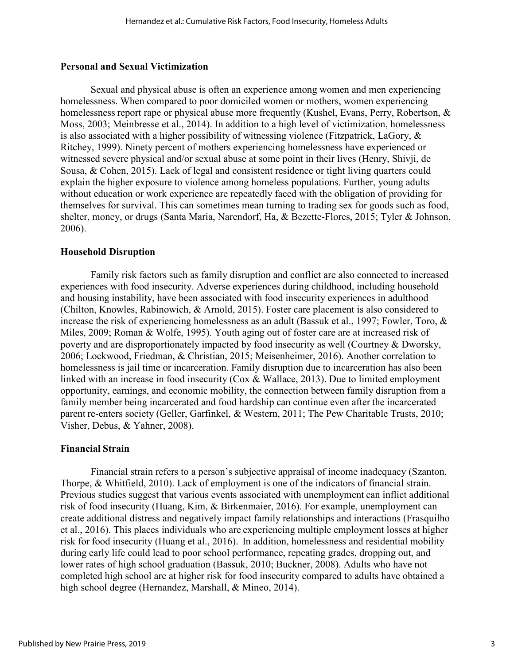#### **Personal and Sexual Victimization**

Sexual and physical abuse is often an experience among women and men experiencing homelessness. When compared to poor domiciled women or mothers, women experiencing homelessness report rape or physical abuse more frequently (Kushel, Evans, Perry, Robertson, & [Moss, 2003;](#page-15-6) [Meinbresse et al., 2014\)](#page-15-7). In addition to a high level of victimization, homelessness is also associated with a higher possibility of witnessing violence [\(Fitzpatrick, LaGory, &](#page-14-4)  [Ritchey, 1999\)](#page-14-4). Ninety percent of mothers experiencing homelessness have experienced or witnessed severe physical and/or sexual abuse at some point in their lives (Henry, Shivji, de Sousa, & Cohen, 2015). Lack of legal and consistent residence or tight living quarters could explain the higher exposure to violence among homeless populations. Further, young adults without education or work experience are repeatedly faced with the obligation of providing for themselves for survival. This can sometimes mean turning to trading sex for goods such as food, shelter, money, or drugs [\(Santa Maria, Narendorf, Ha, & Bezette-Flores, 2015;](#page-16-5) [Tyler & Johnson,](#page-17-8)  [2006\)](#page-17-8).

### **Household Disruption**

Family risk factors such as family disruption and conflict are also connected to increased experiences with food insecurity. Adverse experiences during childhood, including household and housing instability, have been associated with food insecurity experiences in adulthood [\(Chilton, Knowles, Rabinowich, & Arnold, 2015\)](#page-13-3). Foster care placement is also considered to increase the risk of experiencing homelessness as an adult [\(Bassuk et al., 1997;](#page-13-4) [Fowler, Toro, &](#page-14-5)  [Miles, 2009;](#page-14-5) [Roman & Wolfe, 1995\)](#page-16-6). Youth aging out of foster care are at increased risk of poverty and are disproportionately impacted by food insecurity as well [\(Courtney & Dworsky,](#page-13-5)  [2006;](#page-13-5) [Lockwood, Friedman, & Christian, 2015;](#page-15-8) [Meisenheimer, 2016\)](#page-16-7). Another correlation to homelessness is jail time or incarceration. Family disruption due to incarceration has also been linked with an increase in food insecurity [\(Cox & Wallace, 2013\)](#page-13-6). Due to limited employment opportunity, earnings, and economic mobility, the connection between family disruption from a family member being incarcerated and food hardship can continue even after the incarcerated parent re-enters society [\(Geller, Garfinkel, & Western, 2011;](#page-14-6) [The Pew Charitable Trusts, 2010;](#page-16-8) [Visher, Debus, & Yahner, 2008\)](#page-17-9). 

#### **Financial Strain**

Financial strain refers to a person's subjective appraisal of income inadequacy [\(Szanton,](#page-17-10)  [Thorpe, & Whitfield, 2010\)](#page-17-10). Lack of employment is one of the indicators of financial strain. Previous studies suggest that various events associated with unemployment can inflict additional risk of food insecurity [\(Huang, Kim, & Birkenmaier, 2016\)](#page-15-9). For example, unemployment can create additional distress and negatively impact family relationships and interactions [\(Frasquilho](#page-14-7)  [et al., 2016\)](#page-14-7). This places individuals who are experiencing multiple employment losses at higher risk for food insecurity [\(Huang et al., 2016\)](#page-15-9).  In addition, homelessness and residential mobility during early life could lead to poor school performance, repeating grades, dropping out, and lower rates of high school graduation [\(Bassuk, 2010;](#page-13-7) [Buckner, 2008\)](#page-13-8). Adults who have not completed high school are at higher risk for food insecurity compared to adults have obtained a high school degree [\(Hernandez, Marshall, & Mineo, 2014\)](#page-15-10).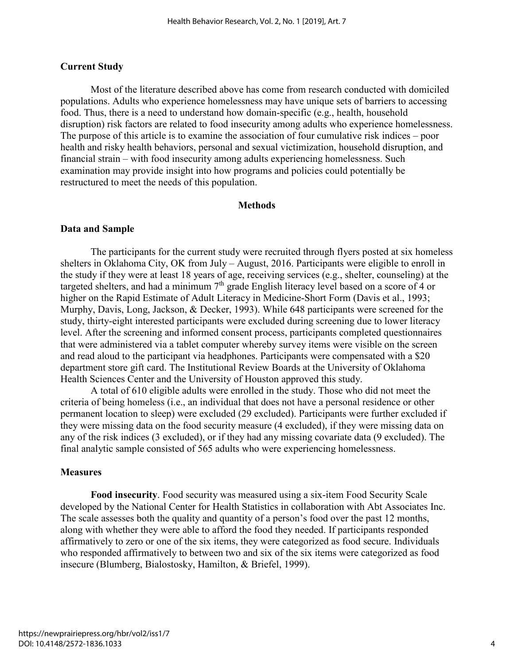#### **Current Study**

Most of the literature described above has come from research conducted with domiciled populations. Adults who experience homelessness may have unique sets of barriers to accessing food. Thus, there is a need to understand how domain-specific (e.g., health, household disruption) risk factors are related to food insecurity among adults who experience homelessness. The purpose of this article is to examine the association of four cumulative risk indices – poor health and risky health behaviors, personal and sexual victimization, household disruption, and financial strain – with food insecurity among adults experiencing homelessness. Such examination may provide insight into how programs and policies could potentially be restructured to meet the needs of this population.

#### **Methods**

#### **Data and Sample**

The participants for the current study were recruited through flyers posted at six homeless shelters in Oklahoma City, OK from July – August, 2016. Participants were eligible to enroll in the study if they were at least 18 years of age, receiving services (e.g., shelter, counseling) at the targeted shelters, and had a minimum 7<sup>th</sup> grade English literacy level based on a score of 4 or higher on the Rapid Estimate of Adult Literacy in Medicine-Short Form [\(Davis et al., 1993;](#page-13-9) [Murphy, Davis, Long, Jackson, & Decker, 1993\)](#page-16-9). While 648 participants were screened for the study, thirty-eight interested participants were excluded during screening due to lower literacy level. After the screening and informed consent process, participants completed questionnaires that were administered via a tablet computer whereby survey items were visible on the screen and read aloud to the participant via headphones. Participants were compensated with a \$20 department store gift card. The Institutional Review Boards at the University of Oklahoma Health Sciences Center and the University of Houston approved this study.

A total of 610 eligible adults were enrolled in the study. Those who did not meet the criteria of being homeless (i.e., an individual that does not have a personal residence or other permanent location to sleep) were excluded (29 excluded). Participants were further excluded if they were missing data on the food security measure (4 excluded), if they were missing data on any of the risk indices (3 excluded), or if they had any missing covariate data (9 excluded). The final analytic sample consisted of 565 adults who were experiencing homelessness.

#### **Measures**

**Food insecurity**. Food security was measured using a six-item Food Security Scale developed by the National Center for Health Statistics in collaboration with Abt Associates Inc. The scale assesses both the quality and quantity of a person's food over the past 12 months, along with whether they were able to afford the food they needed. If participants responded affirmatively to zero or one of the six items, they were categorized as food secure. Individuals who responded affirmatively to between two and six of the six items were categorized as food insecure [\(Blumberg, Bialostosky, Hamilton, & Briefel, 1999\)](#page-13-10).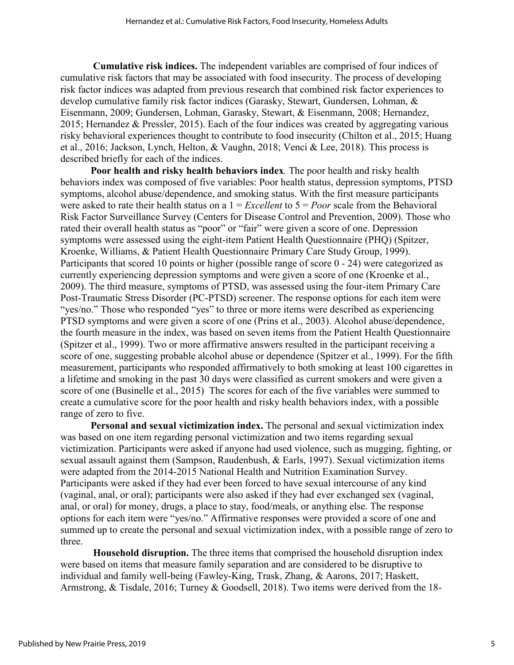**Cumulative risk indices.** The independent variables are comprised of four indices of cumulative risk factors that may be associated with food insecurity. The process of developing risk factor indices was adapted from previous research that combined risk factor experiences to develop cumulative family risk factor indices [\(Garasky, Stewart, Gundersen, Lohman, &](#page-14-8)  [Eisenmann, 2009](#page-14-8); [Gundersen, Lohman, Garasky, Stewart, & Eisenmann, 2008](#page-14-9); [Hernandez,](#page-15-1)  [2015;](#page-15-1) [Hernandez & Pressler, 2015\)](#page-15-11). Each of the four indices was created by aggregating various risky behavioral experiences thought to contribute to food insecurity [\(Chilton et al., 2015;](#page-13-3) [Huang](#page-15-9)  [et al., 2016;](#page-15-9) [Jackson, Lynch, Helton, & Vaughn, 2018;](#page-15-12) [Venci & Lee, 2018\)](#page-17-3). This process is described briefly for each of the indices.

**Poor health and risky health behaviors index***.* The poor health and risky health behaviors index was composed of five variables: Poor health status, depression symptoms, PTSD symptoms, alcohol abuse/dependence, and smoking status. With the first measure participants were asked to rate their health status on a 1 = *Excellent* to 5 = *Poor* scale from the Behavioral Risk Factor Surveillance Survey [\(Centers for Disease Control and Prevention, 2009\)](#page-13-11). Those who rated their overall health status as "poor" or "fair" were given a score of one. Depression symptoms were assessed using the eight-item Patient Health Questionnaire (PHQ) [\(Spitzer,](#page-16-10)  [Kroenke, Williams, & Patient Health Questionnaire Primary Care Study Group, 1999\)](#page-16-10). Participants that scored 10 points or higher (possible range of score 0 - 24) were categorized as currently experiencing depression symptoms and were given a score of one [\(Kroenke et al.,](#page-15-13)  [2009\)](#page-15-13). The third measure, symptoms of PTSD, was assessed using the four-item Primary Care Post-Traumatic Stress Disorder (PC-PTSD) screener. The response options for each item were "yes/no." Those who responded "yes" to three or more items were described as experiencing PTSD symptoms and were given a score of one [\(Prins et al., 2003\)](#page-16-8). Alcohol abuse/dependence, the fourth measure in the index, was based on seven items from the Patient Health Questionnaire [\(Spitzer et al., 1999\)](#page-16-10). Two or more affirmative answers resulted in the participant receiving a score of one, suggesting probable alcohol abuse or dependence [\(Spitzer et al., 1999\)](#page-16-10). For the fifth measurement, participants who responded affirmatively to both smoking at least 100 cigarettes in a lifetime and smoking in the past 30 days were classified as current smokers and were given a score of one [\(Businelle et al., 2015\)](#page-13-12) The scores for each of the five variables were summed to create a cumulative score for the poor health and risky health behaviors index, with a possible range of zero to five.

**Personal and sexual victimization index.** The personal and sexual victimization index was based on one item regarding personal victimization and two items regarding sexual victimization. Participants were asked if anyone had used violence, such as mugging, fighting, or sexual assault against them ([Sampson, Raudenbush, & Earls, 1997](#page-16-11)). Sexual victimization items were adapted from the 2014-2015 National Health and Nutrition Examination Survey. Participants were asked if they had ever been forced to have sexual intercourse of any kind (vaginal, anal, or oral); participants were also asked if they had ever exchanged sex (vaginal, anal, or oral) for money, drugs, a place to stay, food/meals, or anything else. The response options for each item were "yes/no." Affirmative responses were provided a score of one and summed up to create the personal and sexual victimization index, with a possible range of zero to three.

**Household disruption.** The three items that comprised the household disruption index were based on items that measure family separation and are considered to be disruptive to individual and family well-being [\(Fawley-King, Trask, Zhang, & Aarons, 2017;](#page-14-10) [Haskett,](#page-14-11)  [Armstrong, & Tisdale, 2016;](#page-14-11) [Turney & Goodsell, 2018\)](#page-17-11). Two items were derived from the 18-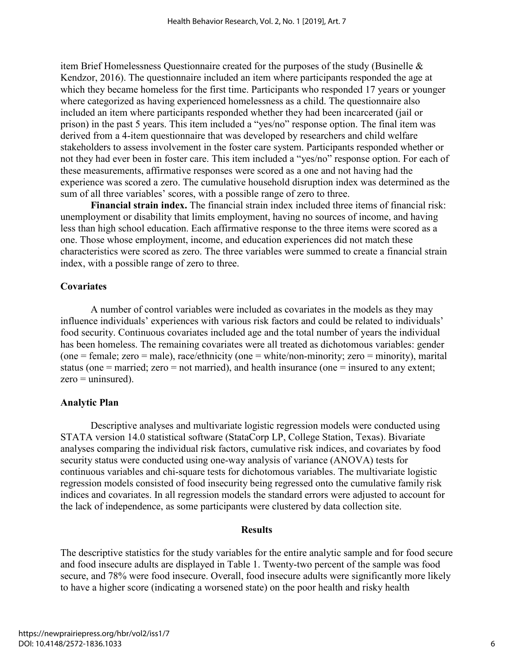item Brief Homelessness Questionnaire created for the purposes of the study [\(Businelle &](#page-13-13)  [Kendzor, 2016\)](#page-13-13). The questionnaire included an item where participants responded the age at which they became homeless for the first time. Participants who responded 17 years or younger where categorized as having experienced homelessness as a child. The questionnaire also included an item where participants responded whether they had been incarcerated (jail or prison) in the past 5 years. This item included a "yes/no" response option. The final item was derived from a 4-item questionnaire that was developed by researchers and child welfare stakeholders to assess involvement in the foster care system. Participants responded whether or not they had ever been in foster care. This item included a "yes/no" response option. For each of these measurements, affirmative responses were scored as a one and not having had the experience was scored a zero. The cumulative household disruption index was determined as the sum of all three variables' scores, with a possible range of zero to three.

**Financial strain index.** The financial strain index included three items of financial risk: unemployment or disability that limits employment, having no sources of income, and having less than high school education. Each affirmative response to the three items were scored as a one. Those whose employment, income, and education experiences did not match these characteristics were scored as zero. The three variables were summed to create a financial strain index, with a possible range of zero to three.

# **Covariates**

A number of control variables were included as covariates in the models as they may influence individuals' experiences with various risk factors and could be related to individuals' food security. Continuous covariates included age and the total number of years the individual has been homeless. The remaining covariates were all treated as dichotomous variables: gender (one = female; zero = male), race/ethnicity (one = white/non-minority; zero = minority), marital status (one  $=$  married; zero  $=$  not married), and health insurance (one  $=$  insured to any extent;  $zero =$  uninsured).

# **Analytic Plan**

Descriptive analyses and multivariate logistic regression models were conducted using STATA version 14.0 statistical software (StataCorp LP, College Station, Texas). Bivariate analyses comparing the individual risk factors, cumulative risk indices, and covariates by food security status were conducted using one-way analysis of variance (ANOVA) tests for continuous variables and chi-square tests for dichotomous variables. The multivariate logistic regression models consisted of food insecurity being regressed onto the cumulative family risk indices and covariates. In all regression models the standard errors were adjusted to account for the lack of independence, as some participants were clustered by data collection site.

# **Results**

The descriptive statistics for the study variables for the entire analytic sample and for food secure and food insecure adults are displayed in Table 1. Twenty-two percent of the sample was food secure, and 78% were food insecure. Overall, food insecure adults were significantly more likely to have a higher score (indicating a worsened state) on the poor health and risky health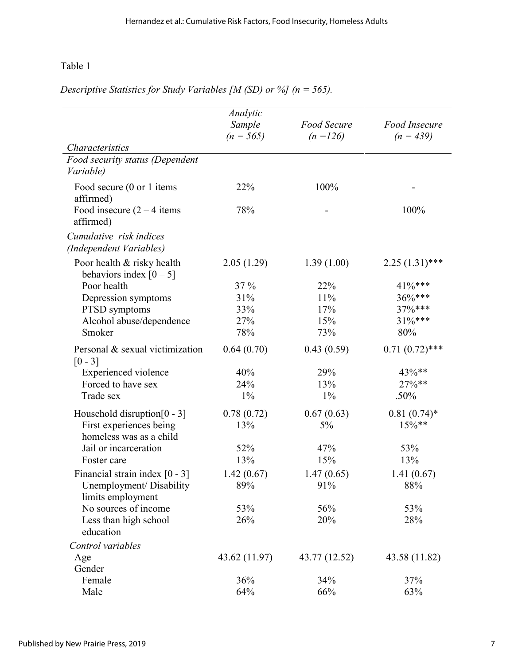# Table 1

|                                                         | Analytic      |                    |                      |  |  |
|---------------------------------------------------------|---------------|--------------------|----------------------|--|--|
|                                                         | Sample        | <b>Food Secure</b> | <b>Food Insecure</b> |  |  |
|                                                         | $(n = 565)$   | $(n = 126)$        | $(n = 439)$          |  |  |
| Characteristics                                         |               |                    |                      |  |  |
| Food security status (Dependent                         |               |                    |                      |  |  |
| Variable)                                               |               |                    |                      |  |  |
| Food secure (0 or 1 items<br>affirmed)                  | 22%           | 100%               |                      |  |  |
| Food insecure $(2 - 4$ items                            | 78%           |                    | 100%                 |  |  |
| affirmed)                                               |               |                    |                      |  |  |
| Cumulative risk indices<br>(Independent Variables)      |               |                    |                      |  |  |
| Poor health & risky health<br>behaviors index $[0 - 5]$ | 2.05(1.29)    | 1.39(1.00)         | $2.25(1.31)$ ***     |  |  |
| Poor health                                             | 37 %          | 22%                | 41%***               |  |  |
| Depression symptoms                                     | 31%           | 11%                | $36\%***$            |  |  |
| PTSD symptoms                                           | 33%           | 17%                | 37%***               |  |  |
| Alcohol abuse/dependence                                | 27%           | 15%                | 31%***               |  |  |
| Smoker                                                  | 78%           | 73%                | 80%                  |  |  |
| Personal & sexual victimization<br>$[0 - 3]$            | 0.64(0.70)    | 0.43(0.59)         | $0.71(0.72)$ ***     |  |  |
| <b>Experienced</b> violence                             | 40%           | 29%                | 43%**                |  |  |
| Forced to have sex                                      | 24%           | 13%                | 27%**                |  |  |
| Trade sex                                               | $1\%$         | $1\%$              | .50%                 |  |  |
| Household disruption $[0 - 3]$                          | 0.78(0.72)    | 0.67(0.63)         | $0.81(0.74)$ *       |  |  |
| First experiences being                                 | 13%           | $5\%$              | $15\%$ **            |  |  |
| homeless was as a child                                 |               |                    |                      |  |  |
| Jail or incarceration                                   | 52%           | 47%                | 53%                  |  |  |
| Foster care                                             | 13%           | 15%                | 13%                  |  |  |
| Financial strain index $[0 - 3]$                        | 1.42(0.67)    | 1.47(0.65)         | 1.41(0.67)           |  |  |
| Unemployment/ Disability<br>limits employment           | 89%           | 91%                | 88%                  |  |  |
| No sources of income                                    | 53%           | 56%                | 53%                  |  |  |
| Less than high school                                   | 26%           | 20%                | 28%                  |  |  |
| education                                               |               |                    |                      |  |  |
| Control variables                                       |               |                    |                      |  |  |
| Age                                                     | 43.62 (11.97) | 43.77 (12.52)      | 43.58 (11.82)        |  |  |
| Gender                                                  |               |                    |                      |  |  |
| Female                                                  | 36%           | 34%                | 37%                  |  |  |
| Male                                                    | 64%           | 66%                | 63%                  |  |  |

*Descriptive Statistics for Study Variables [M (SD) or %] (n = 565).*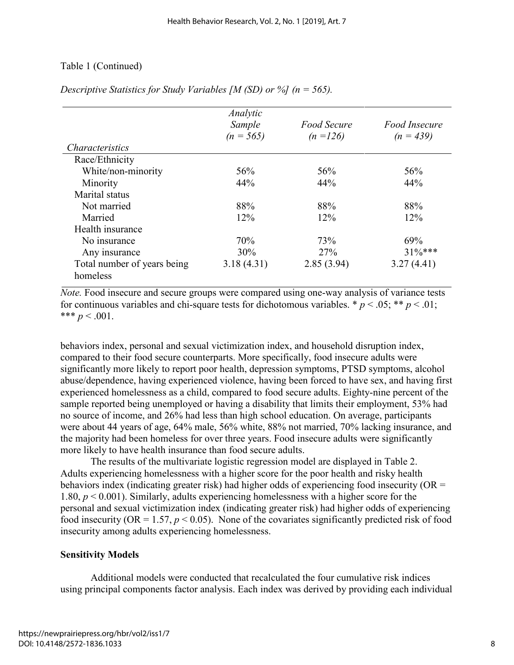# Table 1 (Continued)

|                             | Analytic<br>Sample | Food Secure | Food Insecure |
|-----------------------------|--------------------|-------------|---------------|
|                             | $(n = 565)$        | $(n = 126)$ | $(n = 439)$   |
| <i>Characteristics</i>      |                    |             |               |
| Race/Ethnicity              |                    |             |               |
| White/non-minority          | 56%                | 56%         | 56%           |
| Minority                    | 44%                | 44%         | 44%           |
| Marital status              |                    |             |               |
| Not married                 | 88%                | 88%         | 88%           |
| Married                     | 12%                | 12%         | 12%           |
| Health insurance            |                    |             |               |
| No insurance                | 70%                | 73%         | 69%           |
| Any insurance               | 30%                | 27%         | $31\%***$     |
| Total number of years being | 3.18(4.31)         | 2.85(3.94)  | 3.27(4.41)    |
| homeless                    |                    |             |               |

*Descriptive Statistics for Study Variables [M (SD) or %] (n = 565).* 

*Note.* Food insecure and secure groups were compared using one-way analysis of variance tests for continuous variables and chi-square tests for dichotomous variables.  $p < .05$ ;  $\ast p < .01$ ; \*\*\*  $p < .001$ .

behaviors index, personal and sexual victimization index, and household disruption index, compared to their food secure counterparts. More specifically, food insecure adults were significantly more likely to report poor health, depression symptoms, PTSD symptoms, alcohol abuse/dependence, having experienced violence, having been forced to have sex, and having first experienced homelessness as a child, compared to food secure adults. Eighty-nine percent of the sample reported being unemployed or having a disability that limits their employment, 53% had no source of income, and 26% had less than high school education. On average, participants were about 44 years of age, 64% male, 56% white, 88% not married, 70% lacking insurance, and the majority had been homeless for over three years. Food insecure adults were significantly more likely to have health insurance than food secure adults.

The results of the multivariate logistic regression model are displayed in Table 2. Adults experiencing homelessness with a higher score for the poor health and risky health behaviors index (indicating greater risk) had higher odds of experiencing food insecurity (OR = 1.80, *p* < 0.001). Similarly, adults experiencing homelessness with a higher score for the personal and sexual victimization index (indicating greater risk) had higher odds of experiencing food insecurity (OR = 1.57,  $p < 0.05$ ). None of the covariates significantly predicted risk of food insecurity among adults experiencing homelessness.

# **Sensitivity Models**

Additional models were conducted that recalculated the four cumulative risk indices using principal components factor analysis. Each index was derived by providing each individual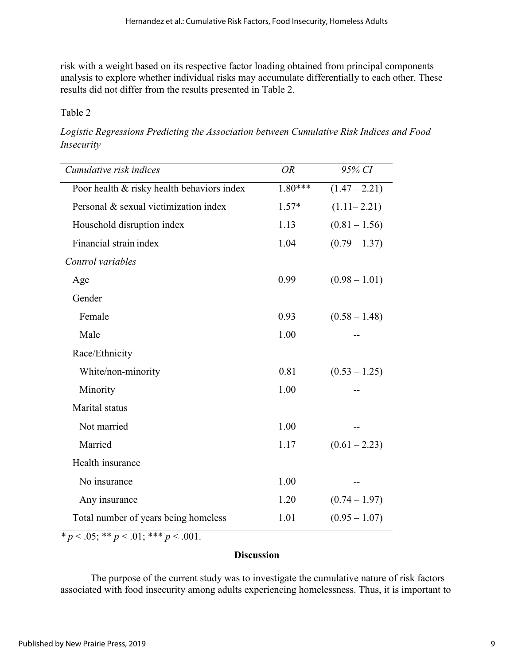risk with a weight based on its respective factor loading obtained from principal components analysis to explore whether individual risks may accumulate differentially to each other. These results did not differ from the results presented in Table 2.

# Table 2

*Logistic Regressions Predicting the Association between Cumulative Risk Indices and Food Insecurity* 

| Cumulative risk indices                    | <b>OR</b> | 95% CI          |
|--------------------------------------------|-----------|-----------------|
| Poor health & risky health behaviors index | $1.80***$ | $(1.47 - 2.21)$ |
| Personal & sexual victimization index      | $1.57*$   | $(1.11 - 2.21)$ |
| Household disruption index                 | 1.13      | $(0.81 - 1.56)$ |
| Financial strain index                     | 1.04      | $(0.79 - 1.37)$ |
| Control variables                          |           |                 |
| Age                                        | 0.99      | $(0.98 - 1.01)$ |
| Gender                                     |           |                 |
| Female                                     | 0.93      | $(0.58 - 1.48)$ |
| Male                                       | 1.00      |                 |
| Race/Ethnicity                             |           |                 |
| White/non-minority                         | 0.81      | $(0.53 - 1.25)$ |
| Minority                                   | 1.00      |                 |
| Marital status                             |           |                 |
| Not married                                | 1.00      |                 |
| Married                                    | 1.17      | $(0.61 - 2.23)$ |
| Health insurance                           |           |                 |
| No insurance                               | 1.00      |                 |
| Any insurance                              | 1.20      | $(0.74 - 1.97)$ |
| Total number of years being homeless       | 1.01      | $(0.95 - 1.07)$ |

 $\overline{\ast p}$  < .05;  $\overline{\ast p}$  < .01;  $\overline{\ast p}$  < .001.

# **Discussion**

The purpose of the current study was to investigate the cumulative nature of risk factors associated with food insecurity among adults experiencing homelessness. Thus, it is important to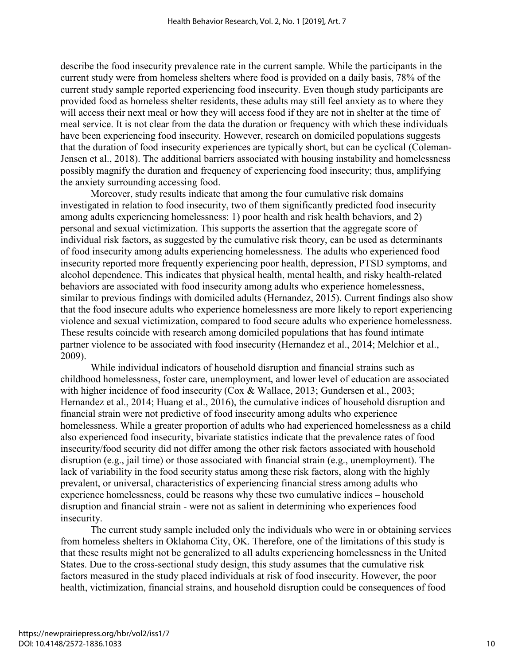describe the food insecurity prevalence rate in the current sample. While the participants in the current study were from homeless shelters where food is provided on a daily basis, 78% of the current study sample reported experiencing food insecurity. Even though study participants are provided food as homeless shelter residents, these adults may still feel anxiety as to where they will access their next meal or how they will access food if they are not in shelter at the time of meal service. It is not clear from the data the duration or frequency with which these individuals have been experiencing food insecurity. However, research on domiciled populations suggests that the duration of food insecurity experiences are typically short, but can be cyclical [\(Coleman-](#page-13-0)[Jensen et al., 2018\)](#page-13-0). The additional barriers associated with housing instability and homelessness possibly magnify the duration and frequency of experiencing food insecurity; thus, amplifying the anxiety surrounding accessing food.

Moreover, study results indicate that among the four cumulative risk domains investigated in relation to food insecurity, two of them significantly predicted food insecurity among adults experiencing homelessness: 1) poor health and risk health behaviors, and 2) personal and sexual victimization. This supports the assertion that the aggregate score of individual risk factors, as suggested by the cumulative risk theory, can be used as determinants of food insecurity among adults experiencing homelessness. The adults who experienced food insecurity reported more frequently experiencing poor health, depression, PTSD symptoms, and alcohol dependence. This indicates that physical health, mental health, and risky health-related behaviors are associated with food insecurity among adults who experience homelessness, similar to previous findings with domiciled adults [\(Hernandez, 2015\)](#page-15-1). Current findings also show that the food insecure adults who experience homelessness are more likely to report experiencing violence and sexual victimization, compared to food secure adults who experience homelessness. These results coincide with research among domiciled populations that has found intimate partner violence to be associated with food insecurity [\(Hernandez et al., 2014;](#page-15-10) [Melchior et al.,](#page-16-12)  [2009\)](#page-16-12).

While individual indicators of household disruption and financial strains such as childhood homelessness, foster care, unemployment, and lower level of education are associated with higher incidence of food insecurity [\(Cox & Wallace, 2013;](#page-13-6) [Gundersen et al., 2003;](#page-14-1) [Hernandez et al., 2014;](#page-15-10) [Huang et al., 2016\)](#page-15-9), the cumulative indices of household disruption and financial strain were not predictive of food insecurity among adults who experience homelessness. While a greater proportion of adults who had experienced homelessness as a child also experienced food insecurity, bivariate statistics indicate that the prevalence rates of food insecurity/food security did not differ among the other risk factors associated with household disruption (e.g., jail time) or those associated with financial strain (e.g., unemployment). The lack of variability in the food security status among these risk factors, along with the highly prevalent, or universal, characteristics of experiencing financial stress among adults who experience homelessness, could be reasons why these two cumulative indices – household disruption and financial strain - were not as salient in determining who experiences food insecurity.

The current study sample included only the individuals who were in or obtaining services from homeless shelters in Oklahoma City, OK. Therefore, one of the limitations of this study is that these results might not be generalized to all adults experiencing homelessness in the United States. Due to the cross-sectional study design, this study assumes that the cumulative risk factors measured in the study placed individuals at risk of food insecurity. However, the poor health, victimization, financial strains, and household disruption could be consequences of food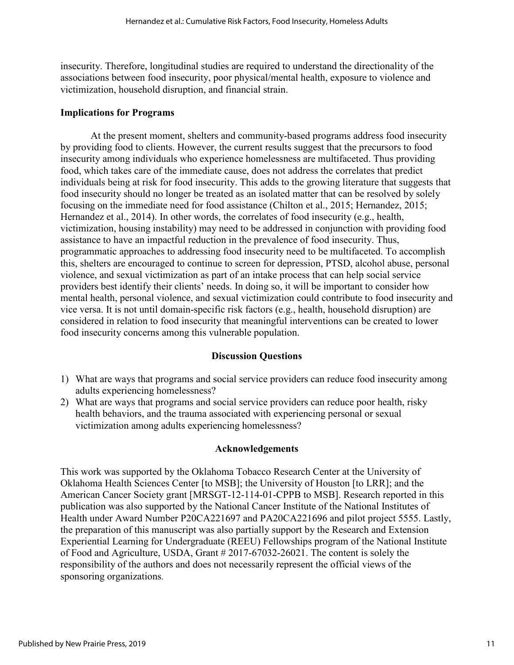insecurity. Therefore, longitudinal studies are required to understand the directionality of the associations between food insecurity, poor physical/mental health, exposure to violence and victimization, household disruption, and financial strain.

### **Implications for Programs**

At the present moment, shelters and community-based programs address food insecurity by providing food to clients. However, the current results suggest that the precursors to food insecurity among individuals who experience homelessness are multifaceted. Thus providing food, which takes care of the immediate cause, does not address the correlates that predict individuals being at risk for food insecurity. This adds to the growing literature that suggests that food insecurity should no longer be treated as an isolated matter that can be resolved by solely focusing on the immediate need for food assistance [\(Chilton et al., 2015;](#page-13-3) [Hernandez, 2015;](#page-15-1) [Hernandez et al., 2014\)](#page-15-10). In other words, the correlates of food insecurity (e.g., health, victimization, housing instability) may need to be addressed in conjunction with providing food assistance to have an impactful reduction in the prevalence of food insecurity. Thus, programmatic approaches to addressing food insecurity need to be multifaceted. To accomplish this, shelters are encouraged to continue to screen for depression, PTSD, alcohol abuse, personal violence, and sexual victimization as part of an intake process that can help social service providers best identify their clients' needs. In doing so, it will be important to consider how mental health, personal violence, and sexual victimization could contribute to food insecurity and vice versa. It is not until domain-specific risk factors (e.g., health, household disruption) are considered in relation to food insecurity that meaningful interventions can be created to lower food insecurity concerns among this vulnerable population.

# **Discussion Questions**

- 1) What are ways that programs and social service providers can reduce food insecurity among adults experiencing homelessness?
- 2) What are ways that programs and social service providers can reduce poor health, risky health behaviors, and the trauma associated with experiencing personal or sexual victimization among adults experiencing homelessness?

# **Acknowledgements**

This work was supported by the Oklahoma Tobacco Research Center at the University of Oklahoma Health Sciences Center [to MSB]; the University of Houston [to LRR]; and the American Cancer Society grant [MRSGT-12-114-01-CPPB to MSB]. Research reported in this publication was also supported by the National Cancer Institute of the National Institutes of Health under Award Number P20CA221697 and PA20CA221696 and pilot project 5555. Lastly, the preparation of this manuscript was also partially support by the Research and Extension Experiential Learning for Undergraduate (REEU) Fellowships program of the National Institute of Food and Agriculture, USDA, Grant # 2017-67032-26021. The content is solely the responsibility of the authors and does not necessarily represent the official views of the sponsoring organizations.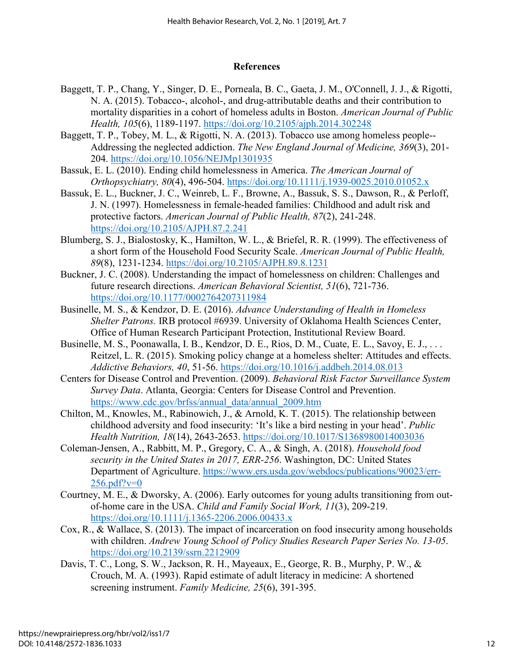### **References**

- <span id="page-13-1"></span>Baggett, T. P., Chang, Y., Singer, D. E., Porneala, B. C., Gaeta, J. M., O'Connell, J. J., & Rigotti, N. A. (2015). Tobacco-, alcohol-, and drug-attributable deaths and their contribution to mortality disparities in a cohort of homeless adults in Boston. *American Journal of Public Health, 105*(6), 1189-1197.<https://doi.org/10.2105/ajph.2014.302248>
- <span id="page-13-2"></span>Baggett, T. P., Tobey, M. L., & Rigotti, N. A. (2013). Tobacco use among homeless people-- Addressing the neglected addiction. *The New England Journal of Medicine, 369*(3), 201- 204. <https://doi.org/10.1056/NEJMp1301935>
- <span id="page-13-7"></span>Bassuk, E. L. (2010). Ending child homelessness in America. *The American Journal of Orthopsychiatry, 80*(4), 496-504.<https://doi.org/10.1111/j.1939-0025.2010.01052.x>
- <span id="page-13-4"></span>Bassuk, E. L., Buckner, J. C., Weinreb, L. F., Browne, A., Bassuk, S. S., Dawson, R., & Perloff, J. N. (1997). Homelessness in female-headed families: Childhood and adult risk and protective factors. *American Journal of Public Health, 87*(2), 241-248. <https://doi.org/10.2105/AJPH.87.2.241>
- <span id="page-13-10"></span>Blumberg, S. J., Bialostosky, K., Hamilton, W. L., & Briefel, R. R. (1999). The effectiveness of a short form of the Household Food Security Scale. *American Journal of Public Health, 89*(8), 1231-1234.<https://doi.org/10.2105/AJPH.89.8.1231>
- <span id="page-13-8"></span>Buckner, J. C. (2008). Understanding the impact of homelessness on children: Challenges and future research directions. *American Behavioral Scientist, 51*(6), 721-736. <https://doi.org/10.1177/0002764207311984>
- <span id="page-13-13"></span><span id="page-13-12"></span>Businelle, M. S., & Kendzor, D. E. (2016). *Advance Understanding of Health in Homeless Shelter Patrons.* IRB protocol #6939. University of Oklahoma Health Sciences Center, Office of Human Research Participant Protection, Institutional Review Board.
- Businelle, M. S., Poonawalla, I. B., Kendzor, D. E., Rios, D. M., Cuate, E. L., Savoy, E. J., . . . Reitzel, L. R. (2015). Smoking policy change at a homeless shelter: Attitudes and effects. *Addictive Behaviors, 40*, 51-56.<https://doi.org/10.1016/j.addbeh.2014.08.013>
- <span id="page-13-11"></span>Centers for Disease Control and Prevention. (2009). *Behavioral Risk Factor Surveillance System Survey Data*. Atlanta, Georgia: Centers for Disease Control and Prevention. [https://www.cdc.gov/brfss/annual\\_data/annual\\_2009.htm](https://www.cdc.gov/brfss/annual_data/annual_2009.htm)
- <span id="page-13-3"></span>Chilton, M., Knowles, M., Rabinowich, J., & Arnold, K. T. (2015). The relationship between childhood adversity and food insecurity: 'It's like a bird nesting in your head'. *Public Health Nutrition, 18*(14), 2643-2653.<https://doi.org/10.1017/S1368980014003036>
- <span id="page-13-0"></span>Coleman-Jensen, A., Rabbitt, M. P., Gregory, C. A., & Singh, A. (2018). *Household food security in the United States in 2017, ERR-256*. Washington, DC: United States Department of Agriculture. [https://www.ers.usda.gov/webdocs/publications/90023/err-](https://www.ers.usda.gov/webdocs/publications/90023/err-256.pdf?v=0) $256.$ pdf?v=0
- <span id="page-13-5"></span>Courtney, M. E., & Dworsky, A. (2006). Early outcomes for young adults transitioning from outof-home care in the USA. *Child and Family Social Work, 11*(3), 209-219. <https://doi.org/10.1111/j.1365-2206.2006.00433.x>
- <span id="page-13-6"></span>Cox, R., & Wallace, S. (2013). The impact of incarceration on food insecurity among households with children. *Andrew Young School of Policy Studies Research Paper Series No. 13-05*. <https://doi.org/10.2139/ssrn.2212909>
- <span id="page-13-9"></span>Davis, T. C., Long, S. W., Jackson, R. H., Mayeaux, E., George, R. B., Murphy, P. W., & Crouch, M. A. (1993). Rapid estimate of adult literacy in medicine: A shortened screening instrument. *Family Medicine, 25*(6), 391-395.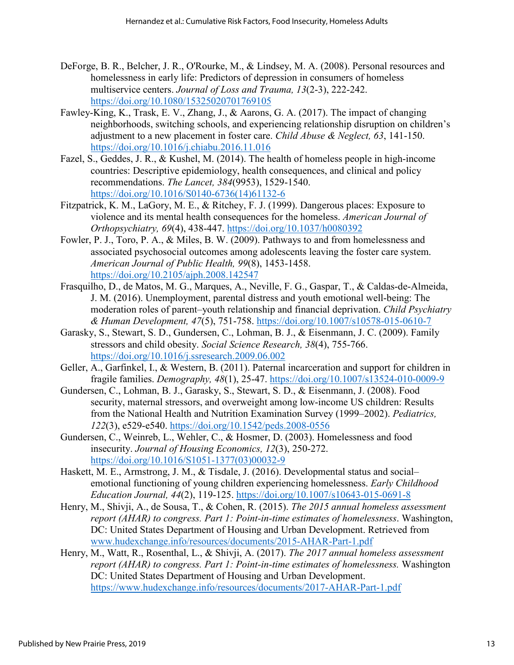- <span id="page-14-3"></span>DeForge, B. R., Belcher, J. R., O'Rourke, M., & Lindsey, M. A. (2008). Personal resources and homelessness in early life: Predictors of depression in consumers of homeless multiservice centers. *Journal of Loss and Trauma, 13*(2-3), 222-242. <https://doi.org/10.1080/15325020701769105>
- <span id="page-14-10"></span>Fawley-King, K., Trask, E. V., Zhang, J., & Aarons, G. A. (2017). The impact of changing neighborhoods, switching schools, and experiencing relationship disruption on children's adjustment to a new placement in foster care. *Child Abuse & Neglect, 63*, 141-150. <https://doi.org/10.1016/j.chiabu.2016.11.016>
- <span id="page-14-2"></span>Fazel, S., Geddes, J. R., & Kushel, M. (2014). The health of homeless people in high-income countries: Descriptive epidemiology, health consequences, and clinical and policy recommendations. *The Lancet, 384*(9953), 1529-1540. [https://doi.org/10.1016/S0140-6736\(14\)61132-6](https://doi.org/10.1016/S0140-6736(14)61132-6)
- <span id="page-14-4"></span>Fitzpatrick, K. M., LaGory, M. E., & Ritchey, F. J. (1999). Dangerous places: Exposure to violence and its mental health consequences for the homeless. *American Journal of Orthopsychiatry, 69*(4), 438-447.<https://doi.org/10.1037/h0080392>
- <span id="page-14-5"></span>Fowler, P. J., Toro, P. A., & Miles, B. W. (2009). Pathways to and from homelessness and associated psychosocial outcomes among adolescents leaving the foster care system. *American Journal of Public Health, 99*(8), 1453-1458. <https://doi.org/10.2105/ajph.2008.142547>
- <span id="page-14-7"></span>Frasquilho, D., de Matos, M. G., Marques, A., Neville, F. G., Gaspar, T., & Caldas-de-Almeida, J. M. (2016). Unemployment, parental distress and youth emotional well-being: The moderation roles of parent–youth relationship and financial deprivation. *Child Psychiatry & Human Development, 47*(5), 751-758.<https://doi.org/10.1007/s10578-015-0610-7>
- <span id="page-14-8"></span>Garasky, S., Stewart, S. D., Gundersen, C., Lohman, B. J., & Eisenmann, J. C. (2009). Family stressors and child obesity. *Social Science Research, 38*(4), 755-766. <https://doi.org/10.1016/j.ssresearch.2009.06.002>
- <span id="page-14-6"></span>Geller, A., Garfinkel, I., & Western, B. (2011). Paternal incarceration and support for children in fragile families. *Demography, 48*(1), 25-47.<https://doi.org/10.1007/s13524-010-0009-9>
- <span id="page-14-9"></span>Gundersen, C., Lohman, B. J., Garasky, S., Stewart, S. D., & Eisenmann, J. (2008). Food security, maternal stressors, and overweight among low-income US children: Results from the National Health and Nutrition Examination Survey (1999–2002). *Pediatrics, 122*(3), e529-e540.<https://doi.org/10.1542/peds.2008-0556>
- <span id="page-14-1"></span>Gundersen, C., Weinreb, L., Wehler, C., & Hosmer, D. (2003). Homelessness and food insecurity. *Journal of Housing Economics, 12*(3), 250-272. [https://doi.org/10.1016/S1051-1377\(03\)00032-9](https://doi.org/10.1016/S1051-1377(03)00032-9)
- <span id="page-14-11"></span>Haskett, M. E., Armstrong, J. M., & Tisdale, J. (2016). Developmental status and social– emotional functioning of young children experiencing homelessness. *Early Childhood Education Journal, 44*(2), 119-125.<https://doi.org/10.1007/s10643-015-0691-8>
- <span id="page-14-0"></span>Henry, M., Shivji, A., de Sousa, T., & Cohen, R. (2015). *The 2015 annual homeless assessment report (AHAR) to congress. Part 1: Point-in-time estimates of homelessness*. Washington, DC: United States Department of Housing and Urban Development. Retrieved from [www.hudexchange.info/resources/documents/2015-AHAR-Part-1.pdf](http://www.hudexchange.info/resources/documents/2015-AHAR-Part-1.pdf)
- Henry, M., Watt, R., Rosenthal, L., & Shivji, A. (2017). *The 2017 annual homeless assessment report (AHAR) to congress. Part 1: Point-in-time estimates of homelessness.* Washington DC: United States Department of Housing and Urban Development. <https://www.hudexchange.info/resources/documents/2017-AHAR-Part-1.pdf>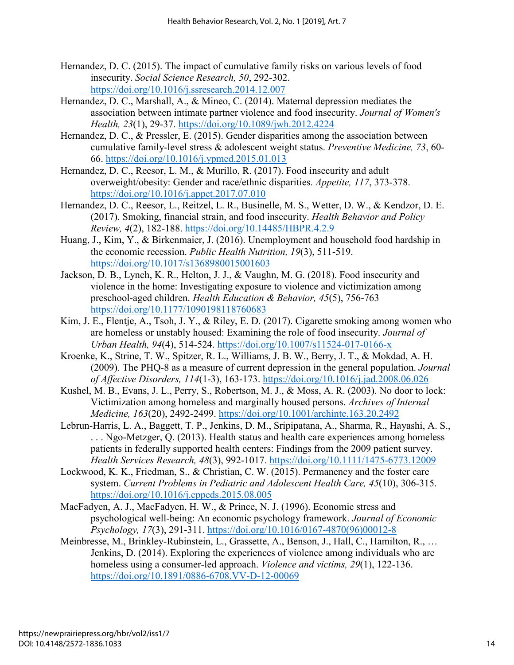- <span id="page-15-1"></span>Hernandez, D. C. (2015). The impact of cumulative family risks on various levels of food insecurity. *Social Science Research, 50*, 292-302. <https://doi.org/10.1016/j.ssresearch.2014.12.007>
- <span id="page-15-10"></span>Hernandez, D. C., Marshall, A., & Mineo, C. (2014). Maternal depression mediates the association between intimate partner violence and food insecurity. *Journal of Women's Health, 23*(1), 29-37.<https://doi.org/10.1089/jwh.2012.4224>
- <span id="page-15-11"></span>Hernandez, D. C., & Pressler, E. (2015). Gender disparities among the association between cumulative family-level stress & adolescent weight status. *Preventive Medicine, 73*, 60- 66.<https://doi.org/10.1016/j.ypmed.2015.01.013>
- <span id="page-15-4"></span>Hernandez, D. C., Reesor, L. M., & Murillo, R. (2017). Food insecurity and adult overweight/obesity: Gender and race/ethnic disparities. *Appetite, 117*, 373-378. <https://doi.org/10.1016/j.appet.2017.07.010>
- <span id="page-15-5"></span>Hernandez, D. C., Reesor, L., Reitzel, L. R., Businelle, M. S., Wetter, D. W., & Kendzor, D. E. (2017). Smoking, financial strain, and food insecurity. *Health Behavior and Policy Review, 4*(2), 182-188.<https://doi.org/10.14485/HBPR.4.2.9>
- <span id="page-15-9"></span>Huang, J., Kim, Y., & Birkenmaier, J. (2016). Unemployment and household food hardship in the economic recession. *Public Health Nutrition, 19*(3), 511-519. <https://doi.org/10.1017/s1368980015001603>
- <span id="page-15-12"></span>Jackson, D. B., Lynch, K. R., Helton, J. J., & Vaughn, M. G. (2018). Food insecurity and violence in the home: Investigating exposure to violence and victimization among preschool-aged children. *Health Education & Behavior, 45*(5), 756-763 <https://doi.org/10.1177/1090198118760683>
- <span id="page-15-0"></span>Kim, J. E., Flentje, A., Tsoh, J. Y., & Riley, E. D. (2017). Cigarette smoking among women who are homeless or unstably housed: Examining the role of food insecurity. *Journal of Urban Health, 94*(4), 514-524.<https://doi.org/10.1007/s11524-017-0166-x>
- <span id="page-15-13"></span>Kroenke, K., Strine, T. W., Spitzer, R. L., Williams, J. B. W., Berry, J. T., & Mokdad, A. H. (2009). The PHQ-8 as a measure of current depression in the general population. *Journal of Affective Disorders, 114*(1-3), 163-173.<https://doi.org/10.1016/j.jad.2008.06.026>
- <span id="page-15-6"></span>Kushel, M. B., Evans, J. L., Perry, S., Robertson, M. J., & Moss, A. R. (2003). No door to lock: Victimization among homeless and marginally housed persons. *Archives of Internal Medicine, 163*(20), 2492-2499.<https://doi.org/10.1001/archinte.163.20.2492>
- <span id="page-15-3"></span>Lebrun-Harris, L. A., Baggett, T. P., Jenkins, D. M., Sripipatana, A., Sharma, R., Hayashi, A. S., . . . Ngo-Metzger, Q. (2013). Health status and health care experiences among homeless patients in federally supported health centers: Findings from the 2009 patient survey. *Health Services Research, 48*(3), 992-1017.<https://doi.org/10.1111/1475-6773.12009>
- <span id="page-15-8"></span>Lockwood, K. K., Friedman, S., & Christian, C. W. (2015). Permanency and the foster care system. *Current Problems in Pediatric and Adolescent Health Care, 45*(10), 306-315. <https://doi.org/10.1016/j.cppeds.2015.08.005>
- <span id="page-15-2"></span>MacFadyen, A. J., MacFadyen, H. W., & Prince, N. J. (1996). Economic stress and psychological well-being: An economic psychology framework. *Journal of Economic Psychology, 17*(3), 291-311. [https://doi.org/10.1016/0167-4870\(96\)00012-8](https://doi.org/10.1016/0167-4870(96)00012-8)
- <span id="page-15-7"></span>Meinbresse, M., Brinkley-Rubinstein, L., Grassette, A., Benson, J., Hall, C., Hamilton, R., … Jenkins, D. (2014). Exploring the experiences of violence among individuals who are homeless using a consumer-led approach. *Violence and victims, 29*(1), 122-136. <https://doi.org/10.1891/0886-6708.VV-D-12-00069>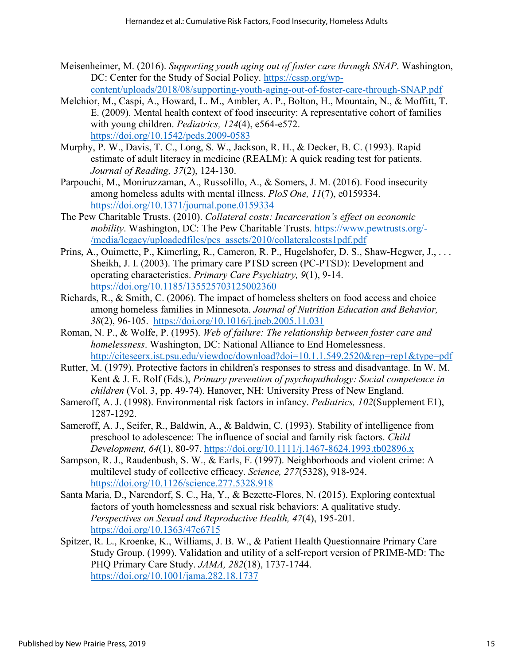- <span id="page-16-7"></span>Meisenheimer, M. (2016). *Supporting youth aging out of foster care through SNAP*. Washington, DC: Center for the Study of Social Policy. [https://cssp.org/wp](https://cssp.org/wp-content/uploads/2018/08/supporting-youth-aging-out-of-foster-care-through-SNAP.pdf)[content/uploads/2018/08/supporting-youth-aging-out-of-foster-care-through-SNAP.pdf](https://cssp.org/wp-content/uploads/2018/08/supporting-youth-aging-out-of-foster-care-through-SNAP.pdf)
- <span id="page-16-12"></span>Melchior, M., Caspi, A., Howard, L. M., Ambler, A. P., Bolton, H., Mountain, N., & Moffitt, T. E. (2009). Mental health context of food insecurity: A representative cohort of families with young children. *Pediatrics, 124*(4), e564-e572. <https://doi.org/10.1542/peds.2009-0583>
- <span id="page-16-9"></span>Murphy, P. W., Davis, T. C., Long, S. W., Jackson, R. H., & Decker, B. C. (1993). Rapid estimate of adult literacy in medicine (REALM): A quick reading test for patients. *Journal of Reading, 37*(2), 124-130.
- <span id="page-16-4"></span>Parpouchi, M., Moniruzzaman, A., Russolillo, A., & Somers, J. M. (2016). Food insecurity among homeless adults with mental illness. *PloS One, 11*(7), e0159334. <https://doi.org/10.1371/journal.pone.0159334>
- <span id="page-16-8"></span>The Pew Charitable Trusts. (2010). *Collateral costs: Incarceration's effect on economic mobility*. Washington, DC: The Pew Charitable Trusts. [https://www.pewtrusts.org/-](https://www.pewtrusts.org/-/media/legacy/uploadedfiles/pcs_assets/2010/collateralcosts1pdf.pdf) [/media/legacy/uploadedfiles/pcs\\_assets/2010/collateralcosts1pdf.pdf](https://www.pewtrusts.org/-/media/legacy/uploadedfiles/pcs_assets/2010/collateralcosts1pdf.pdf)
- Prins, A., Ouimette, P., Kimerling, R., Cameron, R. P., Hugelshofer, D. S., Shaw-Hegwer, J., ... Sheikh, J. I. (2003). The primary care PTSD screen (PC-PTSD): Development and operating characteristics. *Primary Care Psychiatry, 9*(1), 9-14. <https://doi.org/10.1185/135525703125002360>
- <span id="page-16-3"></span>Richards, R., & Smith, C. (2006). The impact of homeless shelters on food access and choice among homeless families in Minnesota. *Journal of Nutrition Education and Behavior, 38*(2), 96-105. <https://doi.org/10.1016/j.jneb.2005.11.031>
- <span id="page-16-6"></span>Roman, N. P., & Wolfe, P. (1995). *Web of failure: The relationship between foster care and homelessness*. Washington, DC: National Alliance to End Homelessness. <http://citeseerx.ist.psu.edu/viewdoc/download?doi=10.1.1.549.2520&rep=rep1&type=pdf>
- <span id="page-16-0"></span>Rutter, M. (1979). Protective factors in children's responses to stress and disadvantage. In W. M. Kent & J. E. Rolf (Eds.), *Primary prevention of psychopathology: Social competence in children* (Vol. 3, pp. 49-74). Hanover, NH: University Press of New England.
- <span id="page-16-1"></span>Sameroff, A. J. (1998). Environmental risk factors in infancy. *Pediatrics, 102*(Supplement E1), 1287-1292.
- <span id="page-16-2"></span>Sameroff, A. J., Seifer, R., Baldwin, A., & Baldwin, C. (1993). Stability of intelligence from preschool to adolescence: The influence of social and family risk factors. *Child Development, 64*(1), 80-97.<https://doi.org/10.1111/j.1467-8624.1993.tb02896.x>
- <span id="page-16-11"></span>Sampson, R. J., Raudenbush, S. W., & Earls, F. (1997). Neighborhoods and violent crime: A multilevel study of collective efficacy. *Science, 277*(5328), 918-924. <https://doi.org/10.1126/science.277.5328.918>
- <span id="page-16-5"></span>Santa Maria, D., Narendorf, S. C., Ha, Y., & Bezette-Flores, N. (2015). Exploring contextual factors of youth homelessness and sexual risk behaviors: A qualitative study. *Perspectives on Sexual and Reproductive Health, 47*(4), 195-201. <https://doi.org/10.1363/47e6715>
- <span id="page-16-10"></span>Spitzer, R. L., Kroenke, K., Williams, J. B. W., & Patient Health Questionnaire Primary Care Study Group. (1999). Validation and utility of a self-report version of PRIME-MD: The PHQ Primary Care Study. *JAMA, 282*(18), 1737-1744. <https://doi.org/10.1001/jama.282.18.1737>